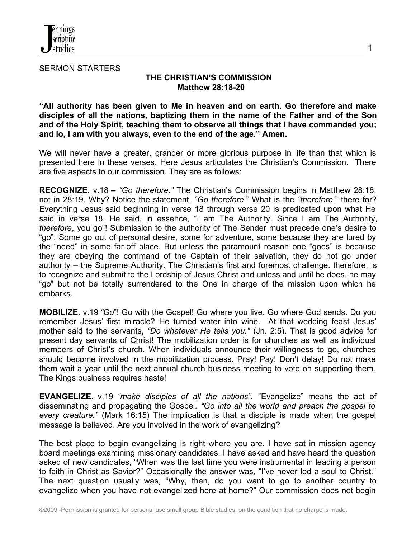

SERMON STARTERS

## **THE CHRISTIAN'S COMMISSION Matthew 28:18-20**

1

**"All authority has been given to Me in heaven and on earth. Go therefore and make disciples of all the nations, baptizing them in the name of the Father and of the Son and of the Holy Spirit, teaching them to observe all things that I have commanded you; and lo, I am with you always, even to the end of the age." Amen.**

We will never have a greater, grander or more glorious purpose in life than that which is presented here in these verses. Here Jesus articulates the Christian's Commission. There are five aspects to our commission. They are as follows:

**RECOGNIZE.** v.18 **–** *"Go therefore."* The Christian's Commission begins in Matthew 28:18, not in 28:19. Why? Notice the statement, *"Go therefore*." What is the *"therefore,*" there for? Everything Jesus said beginning in verse 18 through verse 20 is predicated upon what He said in verse 18. He said, in essence, "I am The Authority. Since I am The Authority, *therefore*, you go"! Submission to the authority of The Sender must precede one's desire to "go". Some go out of personal desire, some for adventure, some because they are lured by the "need" in some far-off place. But unless the paramount reason one "goes" is because they are obeying the command of the Captain of their salvation, they do not go under authority – the Supreme Authority. The Christian's first and foremost challenge. therefore, is to recognize and submit to the Lordship of Jesus Christ and unless and until he does, he may "go" but not be totally surrendered to the One in charge of the mission upon which he embarks.

**MOBILIZE.** v.19 *"Go*"! Go with the Gospel! Go where you live. Go where God sends. Do you remember Jesus' first miracle? He turned water into wine. At that wedding feast Jesus' mother said to the servants, *"Do whatever He tells you."* (Jn. 2:5). That is good advice for present day servants of Christ! The mobilization order is for churches as well as individual members of Christ's church. When individuals announce their willingness to go, churches should become involved in the mobilization process. Pray! Pay! Don't delay! Do not make them wait a year until the next annual church business meeting to vote on supporting them. The Kings business requires haste!

**EVANGELIZE.** v.19 *"make disciples of all the nations".* "Evangelize" means the act of disseminating and propagating the Gospel. *"Go into all the world and preach the gospel to every creature."* (Mark 16:15) The implication is that a disciple is made when the gospel message is believed. Are you involved in the work of evangelizing?

The best place to begin evangelizing is right where you are. I have sat in mission agency board meetings examining missionary candidates. I have asked and have heard the question asked of new candidates, "When was the last time you were instrumental in leading a person to faith in Christ as Savior?" Occasionally the answer was, "I've never led a soul to Christ." The next question usually was, "Why, then, do you want to go to another country to evangelize when you have not evangelized here at home?" Our commission does not begin